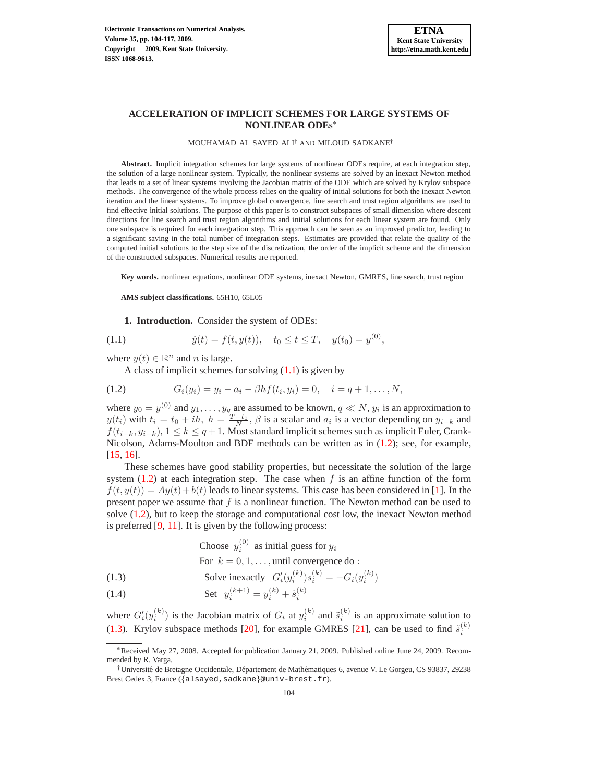### MOUHAMAD AL SAYED ALI† AND MILOUD SADKANE†

**Abstract.** Implicit integration schemes for large systems of nonlinear ODEs require, at each integration step, the solution of a large nonlinear system. Typically, the nonlinear systems are solved by an inexact Newton method that leads to a set of linear systems involving the Jacobian matrix of the ODE which are solved by Krylov subspace methods. The convergence of the whole process relies on the quality of initial solutions for both the inexact Newton iteration and the linear systems. To improve global convergence, line search and trust region algorithms are used to find effective initial solutions. The purpose of this paper is to construct subspaces of small dimension where descent directions for line search and trust region algorithms and initial solutions for each linear system are found. Only one subspace is required for each integration step. This approach can be seen as an improved predictor, leading to a significant saving in the total number of integration steps. Estimates are provided that relate the quality of the computed initial solutions to the step size of the discretization, the order of the implicit scheme and the dimension of the constructed subspaces. Numerical results are reported.

**Key words.** nonlinear equations, nonlinear ODE systems, inexact Newton, GMRES, line search, trust region

**AMS subject classifications.** 65H10, 65L05

**1. Introduction.** Consider the system of ODEs:

<span id="page-0-0"></span>(1.1) 
$$
\dot{y}(t) = f(t, y(t)), \quad t_0 \le t \le T, \quad y(t_0) = y^{(0)},
$$

where  $y(t) \in \mathbb{R}^n$  and *n* is large.

A class of implicit schemes for solving  $(1.1)$  is given by

<span id="page-0-1"></span>(1.2) 
$$
G_i(y_i) = y_i - a_i - \beta h f(t_i, y_i) = 0, \quad i = q+1, ..., N,
$$

where  $y_0 = y^{(0)}$  and  $y_1, \ldots, y_q$  are assumed to be known,  $q \ll N$ ,  $y_i$  is an approximation to  $y(t_i)$  with  $t_i = t_0 + ih$ ,  $h = \frac{T-t_0}{N}$ ,  $\beta$  is a scalar and  $a_i$  is a vector depending on  $y_{i-k}$  and  $f(t_{i-k}, y_{i-k}), 1 \leq k \leq q+1$ . Most standard implicit schemes such as implicit Euler, Crank-Nicolson, Adams-Moulton and BDF methods can be written as in [\(1.2\)](#page-0-1); see, for example, [\[15,](#page-13-0) [16\]](#page-13-1).

These schemes have good stability properties, but necessitate the solution of the large system  $(1.2)$  at each integration step. The case when f is an affine function of the form  $f(t, y(t)) = Ay(t) + b(t)$  leads to linear systems. This case has been considered in [\[1\]](#page-13-2). In the present paper we assume that  $f$  is a nonlinear function. The Newton method can be used to solve [\(1.2\)](#page-0-1), but to keep the storage and computational cost low, the inexact Newton method is preferred [\[9,](#page-13-3) [11\]](#page-13-4). It is given by the following process:

<span id="page-0-2"></span>Choose 
$$
y_i^{(0)}
$$
 as initial guess for  $y_i$   
For  $k = 0, 1, ...,$  until convergence do :

(1.3) Solve inexactly 
$$
G'_i(y_i^{(k)})s_i^{(k)} = -G_i(y_i^{(k)})
$$

(1.4) Set 
$$
y_i^{(k+1)} = y_i^{(k)} + \tilde{s}_i^{(k)}
$$

where  $G'_i(y_i^{(k)})$  is the Jacobian matrix of  $G_i$  at  $y_i^{(k)}$  and  $\tilde{s}_i^{(k)}$  is an approximate solution to [\(1.3\)](#page-0-2). Krylov subspace methods [\[20\]](#page-13-5), for example GMRES [\[21\]](#page-13-6), can be used to find  $\tilde{s}_i^{(k)}$ 

<sup>∗</sup>Received May 27, 2008. Accepted for publication January 21, 2009. Published online June 24, 2009. Recommended by R. Varga.

<sup>&</sup>lt;sup>†</sup>Université de Bretagne Occidentale, Département de Mathématiques 6, avenue V. Le Gorgeu, CS 93837, 29238 Brest Cedex 3, France ({alsayed,sadkane}@univ-brest.fr).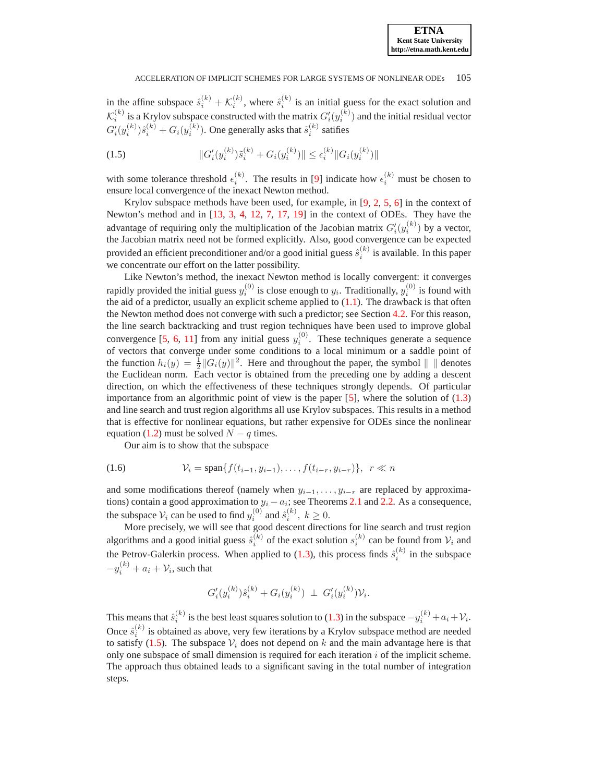in the affine subspace  $\hat{s}_i^{(k)} + \mathcal{K}_i^{(k)}$ , where  $\hat{s}_i^{(k)}$  is an initial guess for the exact solution and  $\mathcal{K}_i^{(k)}$  is a Krylov subspace constructed with the matrix  $G'_i(y_i^{(k)})$  and the initial residual vector  $G'_{i}(y_i^{(k)})\hat{s}_i^{(k)}+G_{i}(y_i^{(k)})$ . One generally asks that  $\tilde{s}_i^{(k)}$  satifies

<span id="page-1-0"></span>(1.5) 
$$
||G'_{i}(y_{i}^{(k)})\tilde{s}_{i}^{(k)} + G_{i}(y_{i}^{(k)})|| \leq \epsilon_{i}^{(k)} ||G_{i}(y_{i}^{(k)})||
$$

with some tolerance threshold  $\epsilon_i^{(k)}$ . The results in [\[9\]](#page-13-3) indicate how  $\epsilon_i^{(k)}$  must be chosen to ensure local convergence of the inexact Newton method.

Krylov subspace methods have been used, for example, in [\[9,](#page-13-3) [2,](#page-13-7) [5,](#page-13-8) [6\]](#page-13-9) in the context of Newton's method and in [\[13,](#page-13-10) [3,](#page-13-11) [4,](#page-13-12) [12,](#page-13-13) [7,](#page-13-14) [17,](#page-13-15) [19\]](#page-13-16) in the context of ODEs. They have the advantage of requiring only the multiplication of the Jacobian matrix  $G_i'(y_i^{(k)})$  by a vector, the Jacobian matrix need not be formed explicitly. Also, good convergence can be expected provided an efficient preconditioner and/or a good initial guess  $\hat{s}_i^{(k)}$  is available. In this paper we concentrate our effort on the latter possibility.

Like Newton's method, the inexact Newton method is locally convergent: it converges rapidly provided the initial guess  $y_i^{(0)}$  is close enough to  $y_i$ . Traditionally,  $y_i^{(0)}$  is found with the aid of a predictor, usually an explicit scheme applied to  $(1.1)$ . The drawback is that often the Newton method does not converge with such a predictor; see Section [4.2.](#page-8-0) For this reason, the line search backtracking and trust region techniques have been used to improve global convergence [\[5,](#page-13-8) [6,](#page-13-9) [11\]](#page-13-4) from any initial guess  $y_i^{(0)}$ . These techniques generate a sequence of vectors that converge under some conditions to a local minimum or a saddle point of the function  $h_i(y) = \frac{1}{2} ||G_i(y)||^2$ . Here and throughout the paper, the symbol  $|| \cdot ||$  denotes the Euclidean norm. Each vector is obtained from the preceding one by adding a descent direction, on which the effectiveness of these techniques strongly depends. Of particular importance from an algorithmic point of view is the paper  $[5]$ , where the solution of  $(1.3)$ and line search and trust region algorithms all use Krylov subspaces. This results in a method that is effective for nonlinear equations, but rather expensive for ODEs since the nonlinear equation [\(1.2\)](#page-0-1) must be solved  $N - q$  times.

Our aim is to show that the subspace

$$
(1.6) \t\t\t V_i = \text{span}\{f(t_{i-1}, y_{i-1}), \dots, f(t_{i-r}, y_{i-r})\}, \ \ r \ll n
$$

and some modifications thereof (namely when  $y_{i-1}, \ldots, y_{i-r}$  are replaced by approximations) contain a good approximation to  $y_i - a_i$ ; see Theorems [2.1](#page-2-0) and [2.2.](#page-3-0) As a consequence, the subspace  $\mathcal{V}_i$  can be used to find  $y_i^{(0)}$  and  $\hat{s}_i^{(k)}$ ,  $k \ge 0$ .

More precisely, we will see that good descent directions for line search and trust region algorithms and a good initial guess  $\hat{s}_i^{(k)}$  of the exact solution  $s_i^{(k)}$  can be found from  $\mathcal{V}_i$  and the Petrov-Galerkin process. When applied to [\(1.3\)](#page-0-2), this process finds  $\hat{s}_i^{(k)}$  in the subspace  $-y_i^{(k)} + a_i + \mathcal{V}_i$ , such that

$$
G'_{i}(y_i^{(k)})\hat{s}_i^{(k)} + G_i(y_i^{(k)}) \perp G'_{i}(y_i^{(k)})\mathcal{V}_i.
$$

This means that  $\hat{s}_i^{(k)}$  is the best least squares solution to [\(1.3\)](#page-0-2) in the subspace  $-y_i^{(k)} + a_i + \mathcal{V}_i$ . Once  $\hat{s}_i^{(k)}$  is obtained as above, very few iterations by a Krylov subspace method are needed to satisfy [\(1.5\)](#page-1-0). The subspace  $V_i$  does not depend on k and the main advantage here is that only one subspace of small dimension is required for each iteration  $i$  of the implicit scheme. The approach thus obtained leads to a significant saving in the total number of integration steps.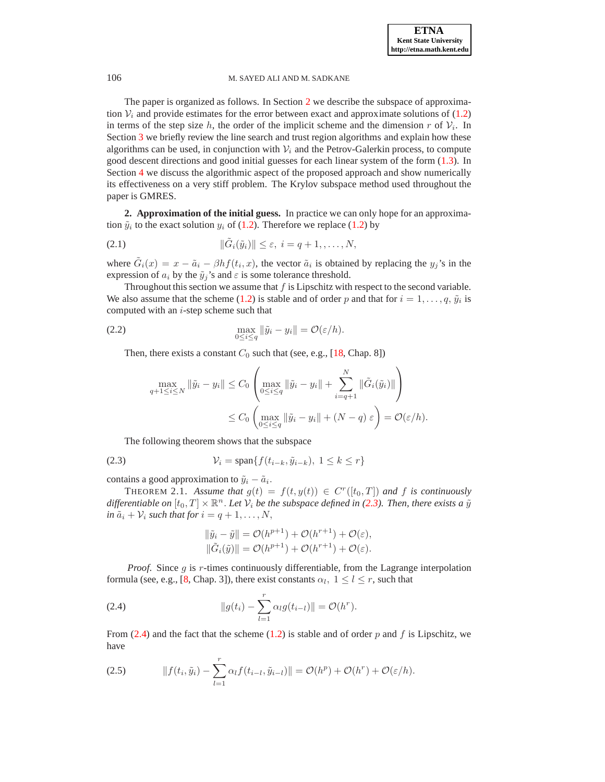The paper is organized as follows. In Section [2](#page-2-1) we describe the subspace of approximation  $V_i$  and provide estimates for the error between exact and approximate solutions of [\(1.2\)](#page-0-1) in terms of the step size h, the order of the implicit scheme and the dimension r of  $V_i$ . In Section [3](#page-4-0) we briefly review the line search and trust region algorithms and explain how these algorithms can be used, in conjunction with  $V_i$  and the Petrov-Galerkin process, to compute good descent directions and good initial guesses for each linear system of the form [\(1.3\)](#page-0-2). In Section [4](#page-6-0) we discuss the algorithmic aspect of the proposed approach and show numerically its effectiveness on a very stiff problem. The Krylov subspace method used throughout the paper is GMRES.

<span id="page-2-1"></span>**2. Approximation of the initial guess.** In practice we can only hope for an approximation  $\tilde{y}_i$  to the exact solution  $y_i$  of [\(1.2\)](#page-0-1). Therefore we replace [\(1.2\)](#page-0-1) by

<span id="page-2-4"></span>
$$
||\tilde{G}_i(\tilde{y}_i)|| \leq \varepsilon, \ i = q+1, \dots, N,
$$

where  $\tilde{G}_i(x) = x - \tilde{a}_i - \beta h f(t_i, x)$ , the vector  $\tilde{a}_i$  is obtained by replacing the  $y_j$ 's in the expression of  $a_i$  by the  $\tilde{y}_j$ 's and  $\varepsilon$  is some tolerance threshold.

Throughout this section we assume that  $f$  is Lipschitz with respect to the second variable. We also assume that the scheme [\(1.2\)](#page-0-1) is stable and of order p and that for  $i = 1, \ldots, q$ ,  $\tilde{y}_i$  is computed with an  $i$ -step scheme such that

(2.2) 
$$
\max_{0 \leq i \leq q} \|\tilde{y}_i - y_i\| = \mathcal{O}(\varepsilon/h).
$$

Then, there exists a constant  $C_0$  such that (see, e.g., [\[18,](#page-13-17) Chap. 8])

$$
\max_{q+1 \leq i \leq N} \|\tilde{y}_i - y_i\| \leq C_0 \left( \max_{0 \leq i \leq q} \|\tilde{y}_i - y_i\| + \sum_{i=q+1}^N \|\tilde{G}_i(\tilde{y}_i)\|\right) \leq C_0 \left( \max_{0 \leq i \leq q} \|\tilde{y}_i - y_i\| + (N-q)\,\varepsilon \right) = \mathcal{O}(\varepsilon/h).
$$

<span id="page-2-2"></span>The following theorem shows that the subspace

$$
(2.3) \t\t\t V_i = \text{span}\{f(t_{i-k}, \tilde{y}_{i-k}), 1 \le k \le r\}
$$

contains a good approximation to  $\tilde{y}_i - \tilde{a}_i$ .

THEOREM 2.1. *Assume that*  $g(t) = f(t, y(t)) \in C<sup>r</sup>(t<sub>0</sub>, T]$  *and* f *is continuously* differentiable on  $[t_0, T] \times \mathbb{R}^n$ . Let  $\mathcal{V}_i$  be the subspace defined in [\(2.3\)](#page-2-2). Then, there exists a  $\tilde{y}$ *in*  $\tilde{a}_i + \mathcal{V}_i$  *such that for*  $i = q + 1, \ldots, N$ ,

<span id="page-2-0"></span>
$$
\|\tilde{y}_i - \tilde{y}\| = \mathcal{O}(h^{p+1}) + \mathcal{O}(h^{r+1}) + \mathcal{O}(\varepsilon),
$$
  

$$
\|\tilde{G}_i(\tilde{y})\| = \mathcal{O}(h^{p+1}) + \mathcal{O}(h^{r+1}) + \mathcal{O}(\varepsilon).
$$

*Proof.* Since g is r-times continuously differentiable, from the Lagrange interpolation formula (see, e.g., [\[8,](#page-13-18) Chap. 3]), there exist constants  $\alpha_l$ ,  $1 \le l \le r$ , such that

<span id="page-2-3"></span>(2.4) 
$$
||g(t_i) - \sum_{l=1}^r \alpha_l g(t_{i-l})|| = \mathcal{O}(h^r).
$$

From [\(2.4\)](#page-2-3) and the fact that the scheme [\(1.2\)](#page-0-1) is stable and of order p and f is Lipschitz, we have

<span id="page-2-5"></span>(2.5) 
$$
||f(t_i, \tilde{y}_i) - \sum_{l=1}^r \alpha_l f(t_{i-l}, \tilde{y}_{i-l})|| = \mathcal{O}(h^p) + \mathcal{O}(h^r) + \mathcal{O}(\varepsilon/h).
$$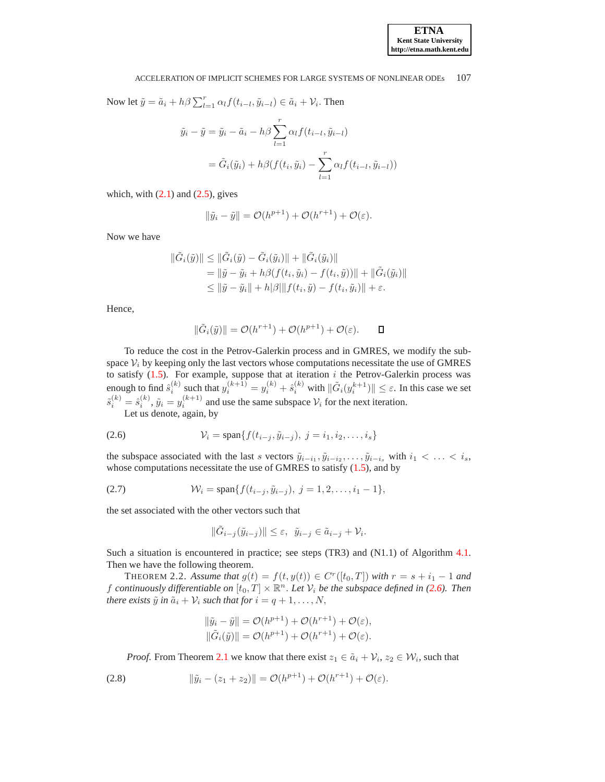Now let 
$$
\tilde{y} = \tilde{a}_i + h\beta \sum_{l=1}^r \alpha_l f(t_{i-l}, \tilde{y}_{i-l}) \in \tilde{a}_i + \mathcal{V}_i
$$
. Then  
\n
$$
\tilde{y}_i - \tilde{y} = \tilde{y}_i - \tilde{a}_i - h\beta \sum_{l=1}^r \alpha_l f(t_{i-l}, \tilde{y}_{i-l})
$$
\n
$$
= \tilde{G}_i(\tilde{y}_i) + h\beta(f(t_i, \tilde{y}_i) - \sum_{l=1}^r \alpha_l f(t_{i-l}, \tilde{y}_{i-l}))
$$

which, with  $(2.1)$  and  $(2.5)$ , gives

$$
\|\tilde{y}_i - \tilde{y}\| = \mathcal{O}(h^{p+1}) + \mathcal{O}(h^{r+1}) + \mathcal{O}(\varepsilon).
$$

Now we have

$$
\begin{aligned} \|\tilde{G}_i(\tilde{y})\| &\leq \|\tilde{G}_i(\tilde{y}) - \tilde{G}_i(\tilde{y}_i)\| + \|\tilde{G}_i(\tilde{y}_i)\| \\ &= \|\tilde{y} - \tilde{y}_i + h\beta(f(t_i, \tilde{y}_i) - f(t_i, \tilde{y}))\| + \|\tilde{G}_i(\tilde{y}_i)\| \\ &\leq \|\tilde{y} - \tilde{y}_i\| + h|\beta\| \|f(t_i, \tilde{y}) - f(t_i, \tilde{y}_i)\| + \varepsilon. \end{aligned}
$$

Hence,

$$
\|\tilde{G}_i(\tilde{y})\| = \mathcal{O}(h^{r+1}) + \mathcal{O}(h^{p+1}) + \mathcal{O}(\varepsilon).
$$

To reduce the cost in the Petrov-Galerkin process and in GMRES, we modify the subspace  $V_i$  by keeping only the last vectors whose computations necessitate the use of GMRES to satisfy  $(1.5)$ . For example, suppose that at iteration i the Petrov-Galerkin process was enough to find  $\hat{s}_i^{(k)}$  such that  $y_i^{(k+1)} = y_i^{(k)} + \hat{s}_i^{(k)}$  with  $\|\tilde{G}_i(y_i^{k+1})\| \leq \varepsilon$ . In this case we set  $\tilde{s}_i^{(k)} = \hat{s}_i^{(k)}$ ,  $\tilde{y}_i = y_i^{(k+1)}$  and use the same subspace  $\mathcal{V}_i$  for the next iteration.

<span id="page-3-1"></span>Let us denote, again, by

(2.6) 
$$
\mathcal{V}_i = \text{span}\{f(t_{i-j}, \tilde{y}_{i-j}), \ j = i_1, i_2, \dots, i_s\}
$$

the subspace associated with the last s vectors  $\tilde{y}_{i-i_1}, \tilde{y}_{i-i_2}, \ldots, \tilde{y}_{i-i_s}$  with  $i_1 < \ldots < i_s$ , whose computations necessitate the use of GMRES to satisfy [\(1.5\)](#page-1-0), and by

(2.7) 
$$
\mathcal{W}_i = \text{span}\{f(t_{i-j}, \tilde{y}_{i-j}), \ j = 1, 2, \ldots, i_1 - 1\},
$$

the set associated with the other vectors such that

<span id="page-3-0"></span>
$$
\|\tilde{G}_{i-j}(\tilde{y}_{i-j})\| \leq \varepsilon, \ \ \tilde{y}_{i-j} \in \tilde{a}_{i-j} + \mathcal{V}_i.
$$

Such a situation is encountered in practice; see steps (TR3) and (N1.1) of Algorithm [4.1.](#page-7-0) Then we have the following theorem.

THEOREM 2.2. *Assume that*  $g(t) = f(t, y(t)) \in C<sup>r</sup>(t<sub>0</sub>, T]$  *with*  $r = s + i<sub>1</sub> - 1$  *and* f continuously differentiable on  $[t_0, T] \times \mathbb{R}^n$ . Let  $\mathcal{V}_i$  be the subspace defined in [\(2.6\)](#page-3-1). Then *there exists*  $\tilde{y}$  *in*  $\tilde{a}_i + V_i$  *such that for*  $i = q + 1, ..., N$ ,

$$
\|\tilde{y}_i - \tilde{y}\| = \mathcal{O}(h^{p+1}) + \mathcal{O}(h^{r+1}) + \mathcal{O}(\varepsilon),
$$
  

$$
\|\tilde{G}_i(\tilde{y})\| = \mathcal{O}(h^{p+1}) + \mathcal{O}(h^{r+1}) + \mathcal{O}(\varepsilon).
$$

*Proof.* From Theorem [2.1](#page-2-0) we know that there exist  $z_1 \in \tilde{a}_i + \mathcal{V}_i$ ,  $z_2 \in \mathcal{W}_i$ , such that

(2.8) 
$$
\|\tilde{y}_i - (z_1 + z_2)\| = \mathcal{O}(h^{p+1}) + \mathcal{O}(h^{r+1}) + \mathcal{O}(\varepsilon).
$$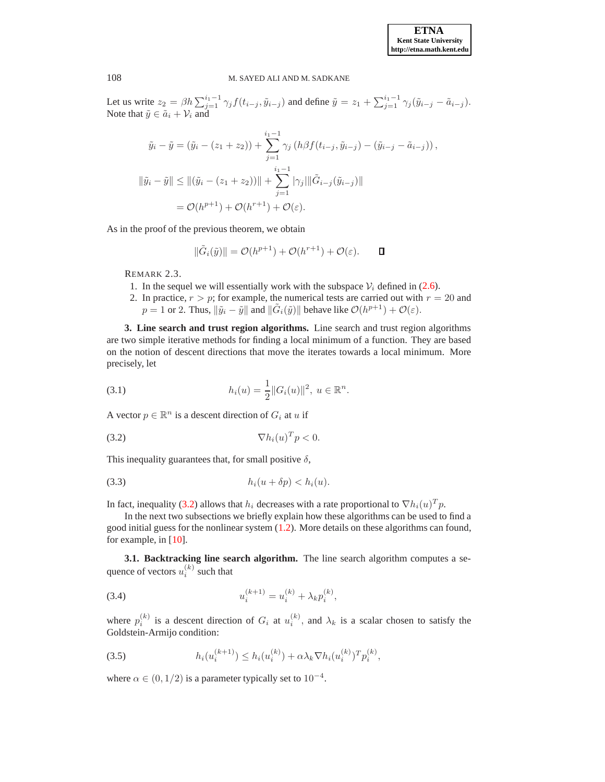Let us write  $z_2 = \beta h \sum_{j=1}^{i_1-1} \gamma_j f(t_{i-j}, \tilde{y}_{i-j})$  and define  $\tilde{y} = z_1 + \sum_{j=1}^{i_1-1} \gamma_j (\tilde{y}_{i-j} - \tilde{a}_{i-j}).$ Note that  $\tilde{y} \in \tilde{a}_i + \mathcal{V}_i$  and

$$
\tilde{y}_i - \tilde{y} = (\tilde{y}_i - (z_1 + z_2)) + \sum_{j=1}^{i_1 - 1} \gamma_j (h\beta f(t_{i-j}, \tilde{y}_{i-j}) - (\tilde{y}_{i-j} - \tilde{a}_{i-j})),
$$
  

$$
\|\tilde{y}_i - \tilde{y}\| \le \|(\tilde{y}_i - (z_1 + z_2))\| + \sum_{j=1}^{i_1 - 1} |\gamma_j| \|\tilde{G}_{i-j}(\tilde{y}_{i-j})\|
$$
  

$$
= \mathcal{O}(h^{p+1}) + \mathcal{O}(h^{r+1}) + \mathcal{O}(\varepsilon).
$$

As in the proof of the previous theorem, we obtain

$$
\|\tilde{G}_i(\tilde{y})\| = \mathcal{O}(h^{p+1}) + \mathcal{O}(h^{r+1}) + \mathcal{O}(\varepsilon).
$$

REMARK 2.3.

- 1. In the sequel we will essentially work with the subspace  $V_i$  defined in [\(2.6\)](#page-3-1).
- 2. In practice,  $r > p$ ; for example, the numerical tests are carried out with  $r = 20$  and  $p = 1$  or 2. Thus,  $\|\tilde{y}_i - \tilde{y}\|$  and  $\|\tilde{G}_i(\tilde{y})\|$  behave like  $\mathcal{O}(h^{p+1}) + \mathcal{O}(\varepsilon)$ .

<span id="page-4-0"></span>**3. Line search and trust region algorithms.** Line search and trust region algorithms are two simple iterative methods for finding a local minimum of a function. They are based on the notion of descent directions that move the iterates towards a local minimum. More precisely, let

(3.1) 
$$
h_i(u) = \frac{1}{2} ||G_i(u)||^2, \ u \in \mathbb{R}^n.
$$

A vector  $p \in \mathbb{R}^n$  is a descent direction of  $G_i$  at u if

<span id="page-4-1"></span>
$$
\nabla h_i(u)^T p < 0.
$$

This inequality guarantees that, for small positive  $\delta$ ,

$$
(3.3) \t\t\t h_i(u+\delta p) < h_i(u).
$$

In fact, inequality [\(3.2\)](#page-4-1) allows that  $h_i$  decreases with a rate proportional to  $\nabla h_i(u)^T p$ .

In the next two subsections we briefly explain how these algorithms can be used to find a good initial guess for the nonlinear system [\(1.2\)](#page-0-1). More details on these algorithms can found, for example, in [\[10\]](#page-13-19).

**3.1. Backtracking line search algorithm.** The line search algorithm computes a sequence of vectors  $u_i^{(k)}$  such that

(3.4) 
$$
u_i^{(k+1)} = u_i^{(k)} + \lambda_k p_i^{(k)},
$$

where  $p_i^{(k)}$  is a descent direction of  $G_i$  at  $u_i^{(k)}$ , and  $\lambda_k$  is a scalar chosen to satisfy the Goldstein-Armijo condition:

<span id="page-4-2"></span>(3.5) 
$$
h_i(u_i^{(k+1)}) \leq h_i(u_i^{(k)}) + \alpha \lambda_k \nabla h_i(u_i^{(k)})^T p_i^{(k)},
$$

where  $\alpha \in (0, 1/2)$  is a parameter typically set to  $10^{-4}$ .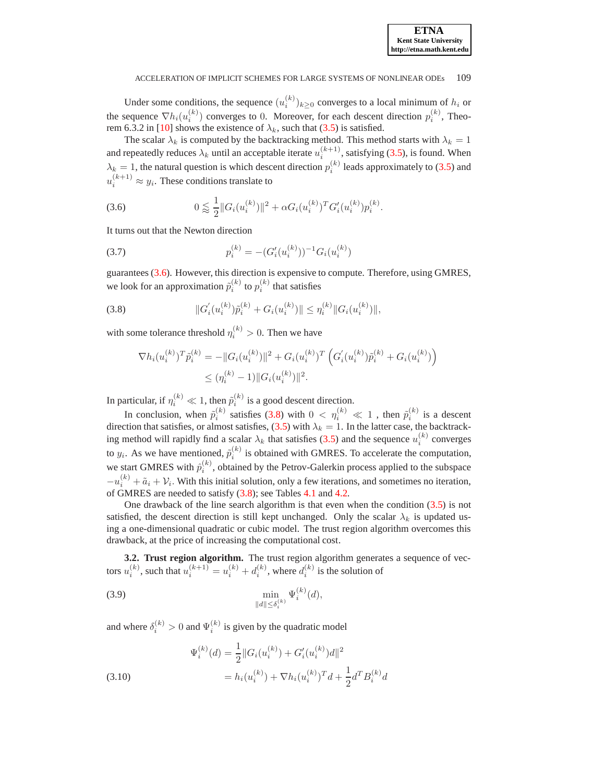Under some conditions, the sequence  $(u_i^{(k)})_{k \geq 0}$  converges to a local minimum of  $h_i$  or the sequence  $\nabla h_i(u_i^{(k)})$  converges to 0. Moreover, for each descent direction  $p_i^{(k)}$ , Theo-rem 6.3.2 in [\[10\]](#page-13-19) shows the existence of  $\lambda_k$ , such that [\(3.5\)](#page-4-2) is satisfied.

The scalar  $\lambda_k$  is computed by the backtracking method. This method starts with  $\lambda_k = 1$ and repeatedly reduces  $\lambda_k$  until an acceptable iterate  $u_i^{(k+1)}$ , satisfying [\(3.5\)](#page-4-2), is found. When  $\lambda_k = 1$ , the natural question is which descent direction  $p_i^{(k)}$  leads approximately to [\(3.5\)](#page-4-2) and  $u_i^{(k+1)} \approx y_i$ . These conditions translate to

<span id="page-5-0"></span>(3.6) 
$$
0 \lessapprox \frac{1}{2} ||G_i(u_i^{(k)})||^2 + \alpha G_i(u_i^{(k)})^T G_i'(u_i^{(k)}) p_i^{(k)}.
$$

It turns out that the Newton direction

<span id="page-5-3"></span>(3.7) 
$$
p_i^{(k)} = -(G_i'(u_i^{(k)}))^{-1} G_i(u_i^{(k)})
$$

guarantees [\(3.6\)](#page-5-0). However, this direction is expensive to compute. Therefore, using GMRES, we look for an approximation  $\tilde{p}_i^{(k)}$  to  $p_i^{(k)}$  that satisfies

<span id="page-5-1"></span>(3.8) 
$$
||G'_{i}(u_{i}^{(k)})\tilde{p}_{i}^{(k)} + G_{i}(u_{i}^{(k)})|| \leq \eta_{i}^{(k)}||G_{i}(u_{i}^{(k)})||,
$$

with some tolerance threshold  $\eta_i^{(k)} > 0$ . Then we have

$$
\nabla h_i(u_i^{(k)})^T \tilde{p}_i^{(k)} = -\|G_i(u_i^{(k)})\|^2 + G_i(u_i^{(k)})^T \left( G_i'(u_i^{(k)}) \tilde{p}_i^{(k)} + G_i(u_i^{(k)}) \right) \leq (\eta_i^{(k)} - 1) \|G_i(u_i^{(k)})\|^2.
$$

In particular, if  $\eta_i^{(k)} \ll 1$ , then  $\tilde{p}_i^{(k)}$  is a good descent direction.

In conclusion, when  $\tilde{p}_i^{(k)}$  satisfies [\(3.8\)](#page-5-1) with  $0 < \eta_i^{(k)} \ll 1$ , then  $\tilde{p}_i^{(k)}$  is a descent direction that satisfies, or almost satisfies, [\(3.5\)](#page-4-2) with  $\lambda_k = 1$ . In the latter case, the backtracking method will rapidly find a scalar  $\lambda_k$  that satisfies [\(3.5\)](#page-4-2) and the sequence  $u_i^{(k)}$  converges to  $y_i$ . As we have mentioned,  $\tilde{p}_i^{(k)}$  is obtained with GMRES. To accelerate the computation, we start GMRES with  $\hat{p}_i^{(k)}$ , obtained by the Petrov-Galerkin process applied to the subspace  $-u_i^{(k)} + \tilde{a}_i + \mathcal{V}_i$ . With this initial solution, only a few iterations, and sometimes no iteration, of GMRES are needed to satisfy [\(3.8\)](#page-5-1); see Tables [4.1](#page-10-0) and [4.2.](#page-11-0)

One drawback of the line search algorithm is that even when the condition  $(3.5)$  is not satisfied, the descent direction is still kept unchanged. Only the scalar  $\lambda_k$  is updated using a one-dimensional quadratic or cubic model. The trust region algorithm overcomes this drawback, at the price of increasing the computational cost.

**3.2. Trust region algorithm.** The trust region algorithm generates a sequence of vectors  $u_i^{(k)}$ , such that  $u_i^{(k+1)} = u_i^{(k)} + d_i^{(k)}$ , where  $d_i^{(k)}$  is the solution of

<span id="page-5-2"></span>(3.9) 
$$
\min_{\|d\| \le \delta_i^{(k)}} \Psi_i^{(k)}(d),
$$

and where  $\delta_i^{(k)} > 0$  and  $\Psi_i^{(k)}$  is given by the quadratic model

<span id="page-5-4"></span>(3.10) 
$$
\Psi_i^{(k)}(d) = \frac{1}{2} ||G_i(u_i^{(k)}) + G_i'(u_i^{(k)})d||^2
$$

$$
= h_i(u_i^{(k)}) + \nabla h_i(u_i^{(k)})^T d + \frac{1}{2} d^T B_i^{(k)} d
$$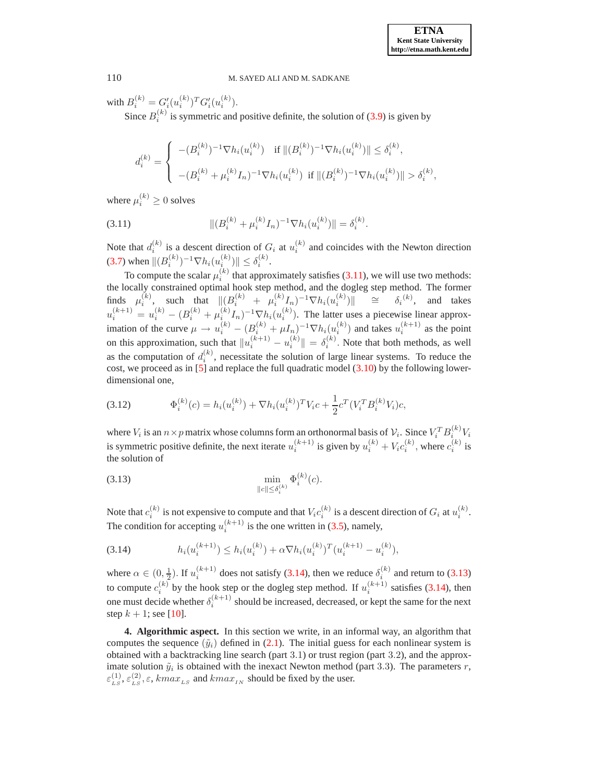with  $B_i^{(k)} = G_i'(u_i^{(k)})^T G_i'(u_i^{(k)})$ .

Since  $B_i^{(k)}$  is symmetric and positive definite, the solution of [\(3.9\)](#page-5-2) is given by

$$
d_i^{(k)} = \begin{cases} -(B_i^{(k)})^{-1} \nabla h_i(u_i^{(k)}) & \text{if } \|(B_i^{(k)})^{-1} \nabla h_i(u_i^{(k)})\| \le \delta_i^{(k)}, \\ -(B_i^{(k)} + \mu_i^{(k)} I_n)^{-1} \nabla h_i(u_i^{(k)}) & \text{if } \|(B_i^{(k)})^{-1} \nabla h_i(u_i^{(k)})\| > \delta_i^{(k)}, \end{cases}
$$

where  $\mu_i^{(k)} \geq 0$  solves

<span id="page-6-1"></span>(3.11) 
$$
\| (B_i^{(k)} + \mu_i^{(k)} I_n)^{-1} \nabla h_i(u_i^{(k)}) \| = \delta_i^{(k)}.
$$

Note that  $d_i^{(k)}$  is a descent direction of  $G_i$  at  $u_i^{(k)}$  and coincides with the Newton direction [\(3.7\)](#page-5-3) when  $\|(B_i^{(k)})^{-1}\nabla h_i(u_i^{(k)})\| \leq \delta_i^{(k)}$ .

To compute the scalar  $\mu_i^{(k)}$  that approximately satisfies [\(3.11\)](#page-6-1), we will use two methods: the locally constrained optimal hook step method, and the dogleg step method. The former finds  $\mu_i^{(k)}$ , such that  $\|(B_i^{(k)} + \mu_i^{(k)}I_n)^{-1}\nabla h_i(u_i^{(k)})\|$   $\cong$   $\delta_i^{(k)}$ , and takes  $u_i^{(k+1)} = u_i^{(k)} - (B_i^{(k)} + \mu_i^{(k)} I_n)^{-1} \nabla h_i(u_i^{(k)})$ . The latter uses a piecewise linear approximation of the curve  $\mu \to u_i^{(k)} - (B_i^{(k)} + \mu I_n)^{-1} \nabla h_i(u_i^{(k)})$  and takes  $u_i^{(k+1)}$  as the point on this approximation, such that  $||u_i^{(k+1)} - u_i^{(k)}|| = \delta_i^{(k)}$ . Note that both methods, as well as the computation of  $d_i^{(k)}$ , necessitate the solution of large linear systems. To reduce the cost, we proceed as in  $[5]$  and replace the full quadratic model  $(3.10)$  by the following lowerdimensional one,

(3.12) 
$$
\Phi_i^{(k)}(c) = h_i(u_i^{(k)}) + \nabla h_i(u_i^{(k)})^T V_i c + \frac{1}{2} c^T (V_i^T B_i^{(k)} V_i) c,
$$

where  $V_i$  is an  $n \times p$  matrix whose columns form an orthonormal basis of  $\mathcal{V}_i$ . Since  $V_i^T B_i^{(k)} V_i$ is symmetric positive definite, the next iterate  $u_i^{(k+1)}$  is given by  $u_i^{(k)} + V_i c_i^{(k)}$ , where  $c_i^{(k)}$  is the solution of

<span id="page-6-3"></span>(3.13) 
$$
\min_{\|c\| \le \delta_i^{(k)}} \Phi_i^{(k)}(c).
$$

Note that  $c_i^{(k)}$  is not expensive to compute and that  $V_i c_i^{(k)}$  is a descent direction of  $G_i$  at  $u_i^{(k)}$ . The condition for accepting  $u_i^{(k+1)}$  is the one written in [\(3.5\)](#page-4-2), namely,

<span id="page-6-2"></span>
$$
(3.14) \t\t\t h_i(u_i^{(k+1)}) \leq h_i(u_i^{(k)}) + \alpha \nabla h_i(u_i^{(k)})^T (u_i^{(k+1)} - u_i^{(k)}),
$$

where  $\alpha \in (0, \frac{1}{2})$ . If  $u_i^{(k+1)}$  does not satisfy [\(3.14\)](#page-6-2), then we reduce  $\delta_i^{(k)}$  and return to [\(3.13\)](#page-6-3)  $\frac{1}{2}$ . If  $u_i$  and sails and  $\frac{1}{2}$ , then we reduce  $v_i$ to compute  $c_i^{(k)}$  by the hook step or the dogleg step method. If  $u_i^{(k+1)}$  satisfies [\(3.14\)](#page-6-2), then one must decide whether  $\delta_i^{(k+1)}$  should be increased, decreased, or kept the same for the next step  $k + 1$ ; see [\[10\]](#page-13-19).

<span id="page-6-0"></span>**4. Algorithmic aspect.** In this section we write, in an informal way, an algorithm that computes the sequence  $(\tilde{y}_i)$  defined in [\(2.1\)](#page-2-4). The initial guess for each nonlinear system is obtained with a backtracking line search (part 3.1) or trust region (part 3.2), and the approximate solution  $\tilde{y}_i$  is obtained with the inexact Newton method (part 3.3). The parameters r,  $\varepsilon_{LS}^{(1)}, \varepsilon_{LS}^{(2)}, \varepsilon$ , kma $x_{LS}$  and kma $x_{IN}$  should be fixed by the user.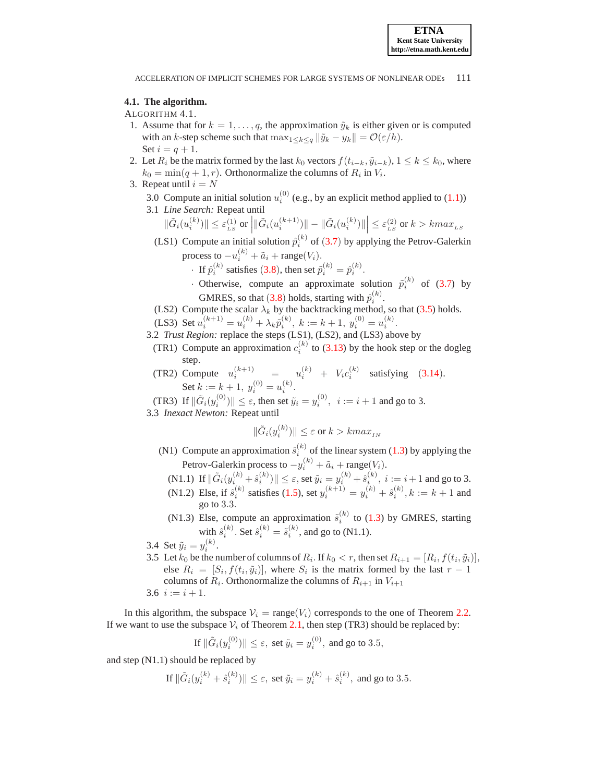## <span id="page-7-0"></span>**4.1. The algorithm.**

## ALGORITHM 4.1.

- 1. Assume that for  $k = 1, \ldots, q$ , the approximation  $\tilde{y}_k$  is either given or is computed with an k-step scheme such that  $\max_{1 \leq k \leq q} ||\tilde{y}_k - y_k|| = \mathcal{O}(\varepsilon/h)$ . Set  $i = q + 1$ .
- 2. Let  $R_i$  be the matrix formed by the last  $k_0$  vectors  $f(t_{i-k}, \tilde{y}_{i-k}), 1 \leq k \leq k_0$ , where  $k_0 = \min(q + 1, r)$ . Orthonormalize the columns of  $R_i$  in  $V_i$ .
- 3. Repeat until  $i = N$ 
	- 3.0 Compute an initial solution  $u_i^{(0)}$  (e.g., by an explicit method applied to [\(1.1\)](#page-0-0)) 3.1 *Line Search:* Repeat until
		- $\|\tilde{G}_i(u_i^{(k)})\| \leq \varepsilon_{\scriptscriptstyle LS}^{(1)}$  or  $\left|\|\tilde{G}_i(u_i^{(k+1)})\| \|\tilde{G}_i(u_i^{(k)})\|\right| \leq \varepsilon_{\scriptscriptstyle LS}^{(2)}$  or  $k > kmax_{\scriptscriptstyle LS}$
		- (LS1) Compute an initial solution  $\hat{p}_i^{(k)}$  of ([3.7](#page-5-3)) by applying the Petrov-Galerkin process to  $-u_i^{(k)} + \tilde{a}_i + \text{range}(V_i)$ .
			- If  $\hat{p}_i^{(k)}$  satisfies ([3.8](#page-5-1)), then set  $\tilde{p}_i^{(k)} = \hat{p}_i^{(k)}$ .
			- · Otherwise, compute an approximate solution  $\tilde{p}_i^{(k)}$  of [\(3.7\)](#page-5-3) by GMRES, so that ([3.8](#page-5-1)) holds, starting with  $\hat{p}_i^{(k)}$ .
		- (LS2) Compute the scalar  $\lambda_k$  by the backtracking method, so that [\(3.5\)](#page-4-2) holds.
		- (LS3) Set  $u_i^{(k+1)} = u_i^{(k)} + \lambda_k \tilde{p}_i^{(k)}$ ,  $k := k + 1$ ,  $y_i^{(0)} = u_i^{(k)}$ .
	- 3.2 *Trust Region:* replace the steps (LS1), (LS2), and (LS3) above by
		- (TR1) Compute an approximation  $c_i^{(k)}$  to [\(3.13\)](#page-6-3) by the hook step or the dogleg step.
		- (TR2) Compute  $u_i^{(k+1)}$  =  $u_i^{(k)}$  +  $V_i c_i^{(k)}$  satisfying ([3.14](#page-6-2)). Set  $k := k + 1$ ,  $y_i^{(0)} = u_i^{(k)}$ .

(TR3) If  $\|\tilde{G}_i(y_i^{(0)})\| \leq \varepsilon$ , then set  $\tilde{y}_i = y_i^{(0)}, \, i := i + 1$  and go to 3.

3.3 *Inexact Newton:* Repeat until

$$
\|\tilde{G}_i(y_i^{(k)})\| \le \varepsilon \text{ or } k > kmax_{IN}
$$

- (N1) Compute an approximation  $\hat{s}_i^{(k)}$  of the linear system [\(1.3\)](#page-0-2) by applying the Petrov-Galerkin process to  $-y_i^{(k)} + \tilde{a}_i + \text{range}(V_i)$ .
	- (N1.1) If  $\|\tilde{G}_i(y_i^{(k)} + \hat{s}_i^{(k)})\| \le \varepsilon$ , set  $\tilde{y}_i = y_i^{(k)} + \hat{s}_i^{(k)}$ ,  $i := i + 1$  and go to 3.
	- (N1.2) Else, if  $\hat{s}_i^{(k)}$  satisfies [\(1.5\)](#page-1-0), set  $y_i^{(k+1)} = y_i^{(k)} + \hat{s}_i^{(k)}$ ,  $k := k + 1$  and go to 3.3.
	- (N1.3) Else, compute an approximation  $\tilde{s}_i^{(k)}$  to [\(1.3\)](#page-0-2) by GMRES, starting with  $\hat{s}_i^{(k)}$ . Set  $\hat{s}_i^{(k)} = \tilde{s}_i^{(k)}$ , and go to (N1.1).
- 3.4 Set  $\tilde{y}_i = y_i^{(k)}$ .
- 3.5 Let  $k_0$  be the number of columns of  $R_i$ . If  $k_0 < r$ , then set  $R_{i+1} = [R_i, f(t_i, \tilde{y}_i)],$ else  $R_i = [S_i, f(t_i, \tilde{y}_i)]$ , where  $S_i$  is the matrix formed by the last  $r - 1$ columns of  $R_i$ . Orthonormalize the columns of  $R_{i+1}$  in  $V_{i+1}$ 3.6  $i := i + 1$ .

In this algorithm, the subspace  $V_i = \text{range}(V_i)$  corresponds to the one of Theorem [2.2.](#page-3-0) If we want to use the subspace  $V_i$  of Theorem [2.1,](#page-2-0) then step (TR3) should be replaced by:

If 
$$
\|\tilde{G}_i(y_i^{(0)})\| \leq \varepsilon
$$
, set  $\tilde{y}_i = y_i^{(0)}$ , and go to 3.5,

and step (N1.1) should be replaced by

If 
$$
\|\tilde{G}_i(y_i^{(k)} + \hat{s}_i^{(k)})\| \le \varepsilon
$$
, set  $\tilde{y}_i = y_i^{(k)} + \hat{s}_i^{(k)}$ , and go to 3.5.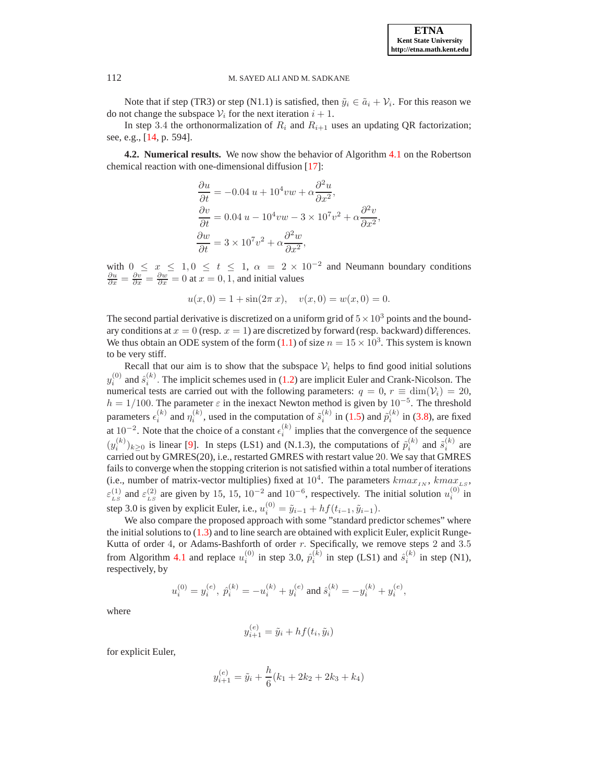Note that if step (TR3) or step (N1.1) is satisfied, then  $\tilde{y}_i \in \tilde{a}_i + \mathcal{V}_i$ . For this reason we do not change the subspace  $V_i$  for the next iteration  $i + 1$ .

In step 3.4 the orthonormalization of  $R_i$  and  $R_{i+1}$  uses an updating QR factorization; see, e.g., [\[14,](#page-13-20) p. 594].

<span id="page-8-0"></span>**4.2. Numerical results.** We now show the behavior of Algorithm [4.1](#page-7-0) on the Robertson chemical reaction with one-dimensional diffusion [\[17\]](#page-13-15):

$$
\frac{\partial u}{\partial t} = -0.04 u + 10^4 v w + \alpha \frac{\partial^2 u}{\partial x^2},
$$
  

$$
\frac{\partial v}{\partial t} = 0.04 u - 10^4 v w - 3 \times 10^7 v^2 + \alpha \frac{\partial^2 v}{\partial x^2},
$$
  

$$
\frac{\partial w}{\partial t} = 3 \times 10^7 v^2 + \alpha \frac{\partial^2 w}{\partial x^2},
$$

with  $0 \le x \le 1, 0 \le t \le 1$ ,  $\alpha = 2 \times 10^{-2}$  and Neumann boundary conditions  $\frac{\partial u}{\partial x} = \frac{\partial v}{\partial x} = \frac{\partial w}{\partial x} = 0$  at  $x = 0, 1$ , and initial values

$$
u(x, 0) = 1 + \sin(2\pi x), \quad v(x, 0) = w(x, 0) = 0.
$$

The second partial derivative is discretized on a uniform grid of  $5 \times 10^3$  points and the boundary conditions at  $x = 0$  (resp.  $x = 1$ ) are discretized by forward (resp. backward) differences. We thus obtain an ODE system of the form [\(1.1\)](#page-0-0) of size  $n = 15 \times 10^3$ . This system is known to be very stiff.

Recall that our aim is to show that the subspace  $V_i$  helps to find good initial solutions  $y_i^{(0)}$  and  $\hat{s}_i^{(k)}$ . The implicit schemes used in [\(1.2\)](#page-0-1) are implicit Euler and Crank-Nicolson. The numerical tests are carried out with the following parameters:  $q = 0$ ,  $r \equiv \dim(V_i) = 20$ ,  $h = 1/100$ . The parameter  $\varepsilon$  in the inexact Newton method is given by  $10^{-5}$ . The threshold parameters  $\epsilon_i^{(k)}$  and  $\eta_i^{(k)}$ , used in the computation of  $\tilde{s}_i^{(k)}$  in [\(1.5\)](#page-1-0) and  $\tilde{p}_i^{(k)}$  in [\(3.8\)](#page-5-1), are fixed at 10<sup>-2</sup>. Note that the choice of a constant  $\epsilon_i^{(k)}$  implies that the convergence of the sequence  $(y_i^{(k)})_{k\geq 0}$  is linear [\[9\]](#page-13-3). In steps (LS1) and (N.1.3), the computations of  $\tilde{p}_i^{(k)}$  and  $\tilde{s}_i^{(k)}$  are carried out by GMRES(20), i.e., restarted GMRES with restart value 20. We say that GMRES fails to converge when the stopping criterion is not satisfied within a total number of iterations (i.e., number of matrix-vector multiplies) fixed at  $10^4$ . The parameters  $kmax_{IN}$ ,  $kmax_{LS}$ ,  $\varepsilon_{LS}^{(1)}$  and  $\varepsilon_{LS}^{(2)}$  are given by 15, 15, 10<sup>-2</sup> and 10<sup>-6</sup>, respectively. The initial solution  $u_i^{(0)}$  in step 3.0 is given by explicit Euler, i.e.,  $u_i^{(0)} = \tilde{y}_{i-1} + h f(t_{i-1}, \tilde{y}_{i-1}).$ 

We also compare the proposed approach with some "standard predictor schemes" where the initial solutions to [\(1.3\)](#page-0-2) and to line search are obtained with explicit Euler, explicit Runge-Kutta of order 4, or Adams-Bashforth of order  $r$ . Specifically, we remove steps 2 and 3.5 from Algorithm [4.1](#page-7-0) and replace  $u_i^{(0)}$  in step 3.0,  $\hat{p}_i^{(k)}$  in step (LS1) and  $\hat{s}_i^{(k)}$  in step (N1), respectively, by

$$
u_i^{(0)}=y_i^{(e)},\; \hat{p}_i^{(k)}=-u_i^{(k)}+y_i^{(e)}\; \text{and}\; \hat{s}_i^{(k)}=-y_i^{(k)}+y_i^{(e)},
$$

where

$$
y_{i+1}^{(e)} = \tilde{y}_i + h f(t_i, \tilde{y}_i)
$$

for explicit Euler,

$$
y_{i+1}^{(e)} = \tilde{y}_i + \frac{h}{6}(k_1 + 2k_2 + 2k_3 + k_4)
$$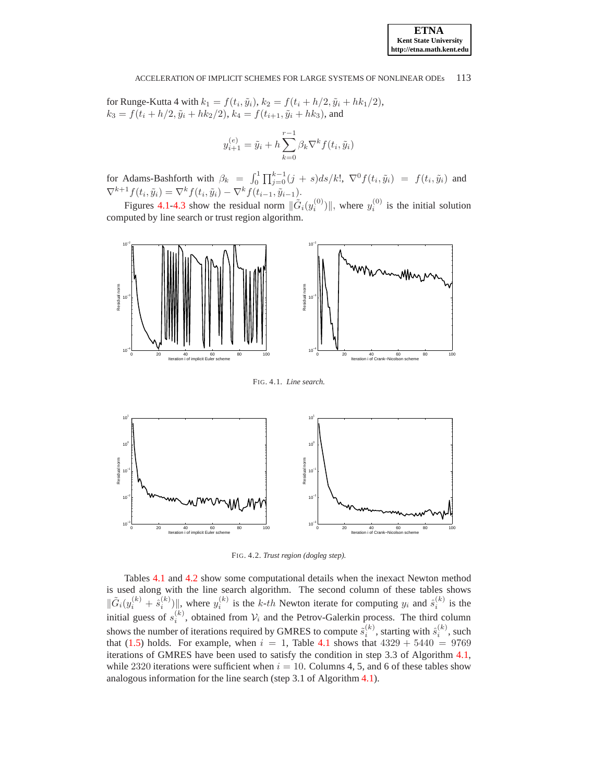for Runge-Kutta 4 with  $k_1 = f(t_i, \tilde{y}_i)$ ,  $k_2 = f(t_i + h/2, \tilde{y}_i + hk_1/2)$ ,  $k_3 = f(t_i + h/2, \tilde{y}_i + hk_2/2), k_4 = f(t_{i+1}, \tilde{y}_i + hk_3)$ , and

$$
y_{i+1}^{(e)} = \tilde{y}_i + h \sum_{k=0}^{r-1} \beta_k \nabla^k f(t_i, \tilde{y}_i)
$$

for Adams-Bashforth with  $\beta_k = \int_0^1 \prod_{j=0}^{k-1} (j + s) ds / k!$ ,  $\nabla^0 f(t_i, \tilde{y}_i) = f(t_i, \tilde{y}_i)$  and  $\nabla^{k+1} f(t_i, \tilde{y}_i) = \nabla^k f(t_i, \tilde{y}_i) - \nabla^k f(t_{i-1}, \tilde{y}_{i-1}).$ 

Figures [4.1](#page-9-0)[-4.3](#page-10-1) show the residual norm  $\|\tilde{G}_i(y_i^{(0)})\|$ , where  $y_i^{(0)}$  is the initial solution computed by line search or trust region algorithm.



<span id="page-9-0"></span>FIG. 4.1. *Line search.*



<span id="page-9-1"></span>FIG. 4.2. *Trust region (dogleg step).*

Tables [4.1](#page-10-0) and [4.2](#page-11-0) show some computational details when the inexact Newton method is used along with the line search algorithm. The second column of these tables shows  $\|\tilde{G}_i(y_i^{(k)} + \hat{s}_i^{(k)})\|$ , where  $y_i^{(k)}$  is the k-th Newton iterate for computing  $y_i$  and  $\hat{s}_i^{(k)}$  is the initial guess of  $s_i^{(k)}$ , obtained from  $\mathcal{V}_i$  and the Petrov-Galerkin process. The third column shows the number of iterations required by GMRES to compute  $\tilde{s}_i^{(k)}$ , starting with  $\hat{s}_i^{(k)}$ , such that [\(1.5\)](#page-1-0) holds. For example, when  $i = 1$ , Table [4.1](#page-10-0) shows that  $4329 + 5440 = 9769$ iterations of GMRES have been used to satisfy the condition in step 3.3 of Algorithm [4.1,](#page-7-0) while 2320 iterations were sufficient when  $i = 10$ . Columns 4, 5, and 6 of these tables show analogous information for the line search (step 3.1 of Algorithm [4.1\)](#page-7-0).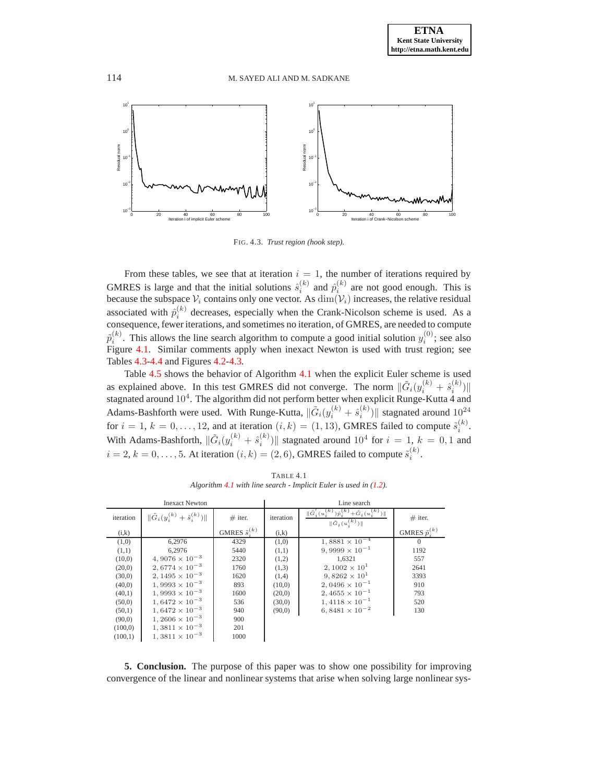

<span id="page-10-1"></span>FIG. 4.3. *Trust region (hook step).*

From these tables, we see that at iteration  $i = 1$ , the number of iterations required by GMRES is large and that the initial solutions  $\hat{s}_i^{(k)}$  and  $\hat{p}_i^{(k)}$  are not good enough. This is because the subspace  $\mathcal{V}_i$  contains only one vector. As  $\dim(\mathcal{V}_i)$  increases, the relative residual associated with  $\hat{p}_i^{(k)}$  decreases, especially when the Crank-Nicolson scheme is used. As a consequence, fewer iterations, and sometimes no iteration, of GMRES, are needed to compute  $\tilde{p}_i^{(k)}$ . This allows the line search algorithm to compute a good initial solution  $y_i^{(0)}$ ; see also Figure [4.1.](#page-9-0) Similar comments apply when inexact Newton is used with trust region; see Tables [4.3-](#page-11-1)[4.4](#page-12-0) and Figures [4.2-](#page-9-1)[4.3.](#page-10-1)

Table [4.5](#page-12-1) shows the behavior of Algorithm [4.1](#page-7-0) when the explicit Euler scheme is used as explained above. In this test GMRES did not converge. The norm  $\|\tilde{G}_i(y_i^{(k)} + \hat{s}_i^{(k)})\|$ stagnated around  $10^4$ . The algorithm did not perform better when explicit Runge-Kutta 4 and Adams-Bashforth were used. With Runge-Kutta,  $\|\tilde{G}_i(y_i^{(k)} + \hat{s}_i^{(k)})\|$  stagnated around  $10^{24}$ for  $i = 1, k = 0, \ldots, 12$ , and at iteration  $(i, k) = (1, 13)$ , GMRES failed to compute  $\tilde{s}_i^{(k)}$ . With Adams-Bashforth,  $\|\tilde{G}_i(y_i^{(k)} + \hat{s}_i^{(k)})\|$  stagnated around  $10^4$  for  $i = 1, k = 0, 1$  and  $i = 2, k = 0, \ldots, 5$ . At iteration  $(i, k) = (2, 6)$ , GMRES failed to compute  $\tilde{s}_i^{(k)}$ .

<span id="page-10-0"></span>

| <b>Inexact Newton</b> |                                                |                           | Line search |                                                                                                     |                           |
|-----------------------|------------------------------------------------|---------------------------|-------------|-----------------------------------------------------------------------------------------------------|---------------------------|
| iteration             | $\ \tilde{G}_i(y_i^{(k)} + \hat{s}_i^{(k)})\ $ | $#$ iter.                 | iteration   | $\ \tilde{G}'_i(u_i^{(k)})\hat{p}_i^{(k)}+\tilde{G}_i(u_i^{(k)})\ $<br>$\ \tilde{G}_i(u_i^{(k)})\ $ | $#$ iter.                 |
| (i,k)                 |                                                | GMRES $\tilde{s}_i^{(k)}$ | (i,k)       |                                                                                                     | GMRES $\tilde{p}_i^{(k)}$ |
| (1,0)                 | 6,2976                                         | 4329                      | (1,0)       | $1,8881 \times 10^{-4}$                                                                             | $\left($                  |
| (1,1)                 | 6.2976                                         | 5440                      | (1,1)       | $9,9999 \times 10^{-1}$                                                                             | 1192                      |
| (10,0)                | $4,9076 \times 10^{-3}$                        | 2320                      | (1,2)       | 1.6321                                                                                              | 557                       |
| (20,0)                | $2,6774 \times 10^{-3}$                        | 1760                      | (1,3)       | $2,1002 \times 10^{1}$                                                                              | 2641                      |
| (30,0)                | $2,1495 \times 10^{-3}$                        | 1620                      | (1,4)       | 9,8262 $\times$ 10 <sup>1</sup>                                                                     | 3393                      |
| (40,0)                | $1,9993 \times 10^{-3}$                        | 893                       | (10,0)      | $2,0496 \times 10^{-1}$                                                                             | 910                       |
| (40,1)                | $1,9993 \times 10^{-3}$                        | 1600                      | (20,0)      | $2,4655 \times 10^{-1}$                                                                             | 793                       |
| (50,0)                | $1,6472 \times 10^{-3}$                        | 536                       | (30,0)      | $1,4118 \times 10^{-1}$                                                                             | 520                       |
| (50,1)                | $1,6472 \times 10^{-3}$                        | 940                       | (90,0)      | $6,8481 \times 10^{-2}$                                                                             | 130                       |
| (90,0)                | $1,2606 \times 10^{-3}$                        | 900                       |             |                                                                                                     |                           |
| (100,0)               | $1,3811 \times 10^{-3}$                        | 201                       |             |                                                                                                     |                           |
| (100,1)               | $1,3811 \times 10^{-3}$                        | 1000                      |             |                                                                                                     |                           |

TABLE 4.1 *Algorithm [4.1](#page-7-0) with line search - Implicit Euler is used in [\(1.2\)](#page-0-1).*

**5. Conclusion.** The purpose of this paper was to show one possibility for improving convergence of the linear and nonlinear systems that arise when solving large nonlinear sys-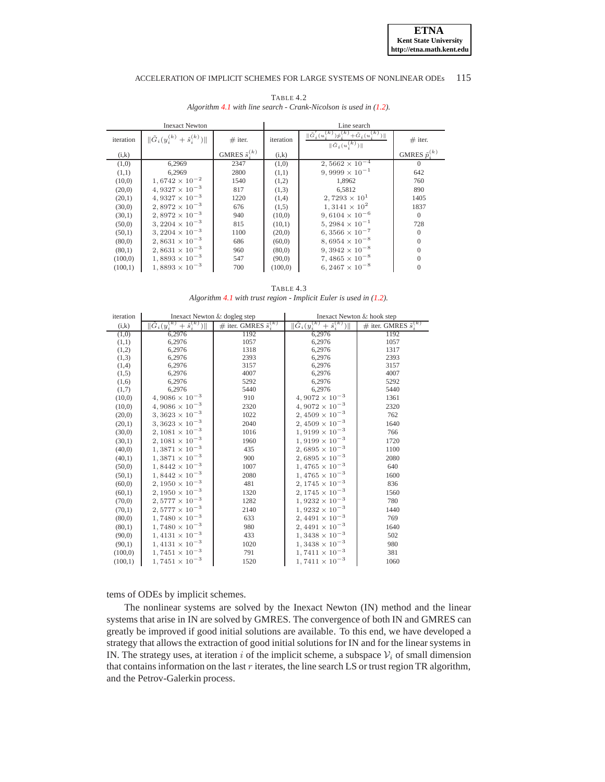<span id="page-11-0"></span>

| <b>Inexact Newton</b> |                                                |                           | Line search |                                                                                                                |                           |
|-----------------------|------------------------------------------------|---------------------------|-------------|----------------------------------------------------------------------------------------------------------------|---------------------------|
| iteration             | $\ \tilde{G}_i(y_i^{(k)} + \hat{s}_i^{(k)})\ $ | $#$ iter.                 | iteration   | $\ \tilde{G}'_i(u_i^{(k)})\hat{p}_i^{(k)}+\tilde{G}_i(u_i^{(k)})\ $<br>$\ \tilde{G}_i(\overline{u_i^{(k)}})\ $ | $#$ iter.                 |
| (i,k)                 |                                                | GMRES $\tilde{s}_i^{(k)}$ | (i,k)       |                                                                                                                | GMRES $\tilde{p}_i^{(k)}$ |
| (1,0)                 | 6,2969                                         | 2347                      | (1,0)       | $2,5662 \times 10^{-4}$                                                                                        | $\Omega$                  |
| (1,1)                 | 6,2969                                         | 2800                      | (1,1)       | $9,9999 \times 10^{-1}$                                                                                        | 642                       |
| (10,0)                | $1,6742 \times 10^{-2}$                        | 1540                      | (1,2)       | 1,8962                                                                                                         | 760                       |
| (20,0)                | $4,9327 \times 10^{-3}$                        | 817                       | (1,3)       | 6.5812                                                                                                         | 890                       |
| (20,1)                | $4,9327 \times 10^{-3}$                        | 1220                      | (1,4)       | $2,7293 \times 10^{1}$                                                                                         | 1405                      |
| (30,0)                | $2,8972 \times 10^{-3}$                        | 676                       | (1,5)       | $1,3141 \times 10^{2}$                                                                                         | 1837                      |
| (30,1)                | $2,8972 \times 10^{-3}$                        | 940                       | (10,0)      | $9,6104 \times 10^{-6}$                                                                                        | $\Omega$                  |
| (50,0)                | $3,2204 \times 10^{-3}$                        | 815                       | (10,1)      | $5,2984 \times 10^{-1}$                                                                                        | 728                       |
| (50,1)                | $3,2204 \times 10^{-3}$                        | 1100                      | (20,0)      | $6,3566 \times 10^{-7}$                                                                                        | $\Omega$                  |
| (80,0)                | $2,8631 \times 10^{-3}$                        | 686                       | (60,0)      | $8,6954 \times 10^{-8}$                                                                                        | $\Omega$                  |
| (80,1)                | $2,8631 \times 10^{-3}$                        | 960                       | (80,0)      | $9,3942 \times 10^{-8}$                                                                                        | $\Omega$                  |
| (100,0)               | $1,8893 \times 10^{-3}$                        | 547                       | (90,0)      | $7,4865 \times 10^{-8}$                                                                                        | $\theta$                  |
| (100,1)               | $1,8893 \times 10^{-3}$                        | 700                       | (100,0)     | $6,2467 \times 10^{-8}$                                                                                        |                           |

TABLE 4.2 *Algorithm* [4.1](#page-7-0) *with line search - Crank-Nicolson is used in [\(1.2\)](#page-0-1).* 

TABLE 4.3 *Algorithm [4.1](#page-7-0) with trust region - Implicit Euler is used in [\(1.2\)](#page-0-1).*

<span id="page-11-1"></span>

| iteration | Inexact Newton & dogleg step                 |                                     | Inexact Newton & hook step                             |                                     |  |
|-----------|----------------------------------------------|-------------------------------------|--------------------------------------------------------|-------------------------------------|--|
| (i,k)     | $\ \tilde{G}_i(y_i^{(k)}+\hat{s}_i^{(k)})\ $ | # iter. GMRES $\tilde{s}_{i}^{(k)}$ | $\ \tilde{G}_i(y_i^{(k)}\)$<br>$+ \hat{s}_{i}^{(k)}$ ) | # iter. GMRES $\tilde{s}_{i}^{(k)}$ |  |
| (1,0)     | 6,2976                                       | 1192                                | 6,2976                                                 | 1192                                |  |
| (1,1)     | 6,2976                                       | 1057                                | 6,2976                                                 | 1057                                |  |
| (1,2)     | 6,2976                                       | 1318                                | 6,2976                                                 | 1317                                |  |
| (1,3)     | 6,2976                                       | 2393                                | 6,2976                                                 | 2393                                |  |
| (1,4)     | 6,2976                                       | 3157                                | 6,2976                                                 | 3157                                |  |
| (1,5)     | 6,2976                                       | 4007                                | 6,2976                                                 | 4007                                |  |
| (1,6)     | 6,2976                                       | 5292                                | 6,2976                                                 | 5292                                |  |
| (1,7)     | 6,2976                                       | 5440                                | 6,2976                                                 | 5440                                |  |
| (10,0)    | $4,9086 \times 10^{-3}$                      | 910                                 | $4,9072\times10^{-3}$                                  | 1361                                |  |
| (10,0)    | $4,9086 \times 10^{-3}$                      | 2320                                | $4,9072 \times 10^{-3}$                                | 2320                                |  |
| (20,0)    | $3,3623 \times 10^{-3}$                      | 1022                                | $2,4509 \times 10^{-3}$                                | 762                                 |  |
| (20,1)    | $3,3623\times10^{-3}$                        | 2040                                | $2,4509\times10^{-3}$                                  | 1640                                |  |
| (30,0)    | $2,1081 \times 10^{-3}$                      | 1016                                | $1,9199 \times 10^{-3}$                                | 766                                 |  |
| (30,1)    | $2,1081\times10^{-3}$                        | 1960                                | $1,9199\times10^{-3}$                                  | 1720                                |  |
| (40,0)    | $1,3871\times10^{-3}$                        | 435                                 | $2,6895 \times 10^{-3}$                                | 1100                                |  |
| (40,1)    | $1,3871\times10^{-3}$                        | 900                                 | $2,6895 \times 10^{-3}$                                | 2080                                |  |
| (50,0)    | $1,8442\times10^{-3}$                        | 1007                                | $1,4765\times10^{-3}$                                  | 640                                 |  |
| (50,1)    | $1,8442\times10^{-3}$                        | 2080                                | $1,4765\times10^{-3}$                                  | 1600                                |  |
| (60,0)    | $2,1950 \times 10^{-3}$                      | 481                                 | $2,1745\times10^{-3}$                                  | 836                                 |  |
| (60,1)    | $2,1950\times10^{-3}$                        | 1320                                | $2,1745\times10^{-3}$                                  | 1560                                |  |
| (70,0)    | $2,5777\times10^{-3}$                        | 1282                                | $1,9232\times 10^{-3}$                                 | 780                                 |  |
| (70,1)    | $2,5777\times10^{-3}$                        | 2140                                | $1,9232\times10^{-3}$                                  | 1440                                |  |
| (80,0)    | $1,7480\times10^{-3}$                        | 633                                 | $2,4491\times10^{-3}$                                  | 769                                 |  |
| (80,1)    | $1,7480\times10^{-3}$                        | 980                                 | $2,4491 \times 10^{-3}$                                | 1640                                |  |
| (90,0)    | $1,4131\times10^{-3}$                        | 433                                 | $1,3438\times10^{-3}$                                  | 502                                 |  |
| (90,1)    | $1,4131\times10^{-3}$                        | 1020                                | $1,3438\times10^{-3}$                                  | 980                                 |  |
| (100,0)   | $1,7451\times10^{-3}$                        | 791                                 | $1,7411 \times 10^{-3}$                                | 381                                 |  |
| (100,1)   | $1,7451\times10^{-3}$                        | 1520                                | $1,7411\times10^{-3}$                                  | 1060                                |  |

tems of ODEs by implicit schemes.

The nonlinear systems are solved by the Inexact Newton (IN) method and the linear systems that arise in IN are solved by GMRES. The convergence of both IN and GMRES can greatly be improved if good initial solutions are available. To this end, we have developed a strategy that allows the extraction of good initial solutions for IN and for the linear systems in IN. The strategy uses, at iteration i of the implicit scheme, a subspace  $V_i$  of small dimension that contains information on the last  $r$  iterates, the line search LS or trust region TR algorithm, and the Petrov-Galerkin process.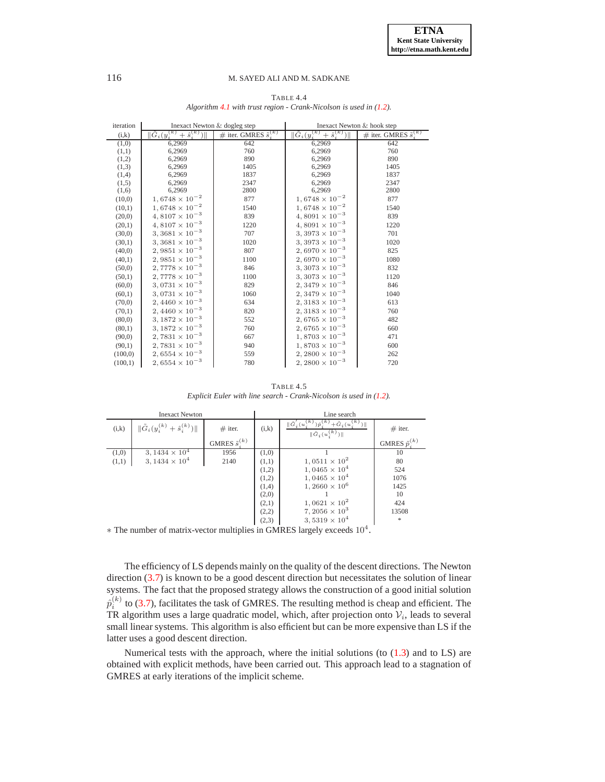<span id="page-12-0"></span>

| iteration | Inexact Newton & dogleg step                   |                                     | Inexact Newton & hook step                              |                                     |  |
|-----------|------------------------------------------------|-------------------------------------|---------------------------------------------------------|-------------------------------------|--|
| (i,k)     | $\ \tilde{G}_i(y_i^{(k)} + \hat{s}_i^{(k)})\ $ | # iter. GMRES $\tilde{s}_{i}^{(k)}$ | $\ \tilde{G}_i\overline{(y_i^{(k)}+\hat{s}_i^{(k)})\ }$ | # iter. GMRES $\tilde{s}_{i}^{(k)}$ |  |
| (1,0)     | 6.2969                                         | 642                                 | 6.2969                                                  | 642                                 |  |
| (1,1)     | 6,2969                                         | 760                                 | 6,2969                                                  | 760                                 |  |
| (1,2)     | 6,2969                                         | 890                                 | 6,2969                                                  | 890                                 |  |
| (1,3)     | 6,2969                                         | 1405                                | 6,2969                                                  | 1405                                |  |
| (1,4)     | 6,2969                                         | 1837                                | 6,2969                                                  | 1837                                |  |
| (1,5)     | 6,2969                                         | 2347                                | 6,2969                                                  | 2347                                |  |
| (1,6)     | 6,2969                                         | 2800                                | 6,2969                                                  | 2800                                |  |
| (10,0)    | $1,6748\times 10^{-2}$                         | 877                                 | $1,6748\times10^{-2}$                                   | 877                                 |  |
| (10,1)    | $1,6748 \times 10^{-2}$                        | 1540                                | $1,6748 \times 10^{-2}$                                 | 1540                                |  |
| (20,0)    | $4,8107 \times 10^{-3}$                        | 839                                 | $4,8091 \times 10^{-3}$                                 | 839                                 |  |
| (20,1)    | $4,8107\times10^{-3}$                          | 1220                                | $4,8091 \times 10^{-3}$                                 | 1220                                |  |
| (30,0)    | $3,3681\times10^{-3}$                          | 707                                 | $3,3973 \times 10^{-3}$                                 | 701                                 |  |
| (30,1)    | $3,3681\times10^{-3}$                          | 1020                                | $3,3973 \times 10^{-3}$                                 | 1020                                |  |
| (40,0)    | $2,9851\times10^{-3}$                          | 807                                 | $2,6970 \times 10^{-3}$                                 | 825                                 |  |
| (40,1)    | $2,9851\times10^{-3}$                          | 1100                                | $2,6970 \times 10^{-3}$                                 | 1080                                |  |
| (50,0)    | $2,7778\times10^{-3}$                          | 846                                 | $3,3073\times10^{-3}$                                   | 832                                 |  |
| (50,1)    | $2,7778\times10^{-3}$                          | 1100                                | $3,3073\times10^{-3}$                                   | 1120                                |  |
| (60,0)    | $3,0731\times10^{-3}$                          | 829                                 | $2,3479 \times 10^{-3}$                                 | 846                                 |  |
| (60,1)    | $3,0731\times10^{-3}$                          | 1060                                | $2,3479\times10^{-3}$                                   | 1040                                |  |
| (70,0)    | $2,4460 \times 10^{-3}$                        | 634                                 | $2,3183 \times 10^{-3}$                                 | 613                                 |  |
| (70,1)    | $2,4460\times10^{-3}$                          | 820                                 | $2,3183 \times 10^{-3}$                                 | 760                                 |  |
| (80,0)    | $3,1872\times10^{-3}$                          | 552                                 | $2,6765 \times 10^{-3}$                                 | 482                                 |  |
| (80,1)    | $3,1872\times10^{-3}$                          | 760                                 | $2,6765 \times 10^{-3}$                                 | 660                                 |  |
| (90,0)    | $2,7831\times 10^{-3}$                         | 667                                 | $1,8703\times10^{-3}$                                   | 471                                 |  |
| (90,1)    | $2,7831\times10^{-3}$                          | 940                                 | $1,8703 \times 10^{-3}$                                 | 600                                 |  |
| (100,0)   | $2,6554\times10^{-3}$                          | 559                                 | $2,2800 \times 10^{-3}$                                 | 262                                 |  |
| (100,1)   | $2,6554 \times 10^{-3}$                        | 780                                 | $2,2800 \times 10^{-3}$                                 | 720                                 |  |

TABLE 4.4 *Algorithm [4.1](#page-7-0) with trust region - Crank-Nicolson is used in [\(1.2\)](#page-0-1).*

TABLE 4.5 *Explicit Euler with line search - Crank-Nicolson is used in [\(1.2\)](#page-0-1).*

<span id="page-12-1"></span>

| <b>Inexact Newton</b> |                                                |                           | Line search |                                                                                                                    |                           |
|-----------------------|------------------------------------------------|---------------------------|-------------|--------------------------------------------------------------------------------------------------------------------|---------------------------|
| (i,k)                 | $\ \tilde{G}_i(y_i^{(k)} + \hat{s}_i^{(k)})\ $ | $#$ iter.                 | (i,k)       | $+\tilde{G}_i(u_i^{(k)})$<br>$\ \tilde{G}_{i}^{'}(u_{i}^{(k)})\hat{p}_{i}^{(k)}\ $<br>$\ \tilde{G}_i(u_i^{(k)})\ $ | $#$ iter.                 |
|                       |                                                | GMRES $\tilde{s}_i^{(k)}$ |             |                                                                                                                    | GMRES $\tilde{p}_i^{(k)}$ |
| (1,0)                 | 3, $1434 \times 10^4$                          | 1956                      | (1,0)       |                                                                                                                    | 10                        |
| (1,1)                 | 3, $1434 \times 10^4$                          | 2140                      | (1,1)       | $1,0511 \times 10^{2}$                                                                                             | 80                        |
|                       |                                                |                           | (1,2)       | $1,0465\times 10^{4}$                                                                                              | 524                       |
|                       |                                                |                           | (1,2)       | $1,0465\times 10^{4}$                                                                                              | 1076                      |
|                       |                                                |                           | (1,4)       | $1,2660 \times 10^6$                                                                                               | 1425                      |
|                       |                                                |                           | (2,0)       |                                                                                                                    | 10                        |
|                       |                                                |                           | (2,1)       | $1,0621 \times 10^{2}$                                                                                             | 424                       |
|                       |                                                |                           | (2,2)       | 7, 2056 $\times$ 10 <sup>3</sup>                                                                                   | 13508                     |
|                       |                                                |                           | (2,3)       | $3,5319 \times 10^{4}$<br>$\sim$ $\sim$ $\sim$ $\sim$ $\sim$ $\sim$                                                | $\ast$                    |

 $*$  The number of matrix-vector multiplies in GMRES largely exceeds  $10<sup>4</sup>$ .

The efficiency of LS depends mainly on the quality of the descent directions. The Newton direction [\(3.7\)](#page-5-3) is known to be a good descent direction but necessitates the solution of linear systems. The fact that the proposed strategy allows the construction of a good initial solution  $\hat{p}_i^{(k)}$  to [\(3.7\)](#page-5-3), facilitates the task of GMRES. The resulting method is cheap and efficient. The TR algorithm uses a large quadratic model, which, after projection onto  $V_i$ , leads to several small linear systems. This algorithm is also efficient but can be more expensive than LS if the latter uses a good descent direction.

Numerical tests with the approach, where the initial solutions (to  $(1.3)$ ) and to LS) are obtained with explicit methods, have been carried out. This approach lead to a stagnation of GMRES at early iterations of the implicit scheme.